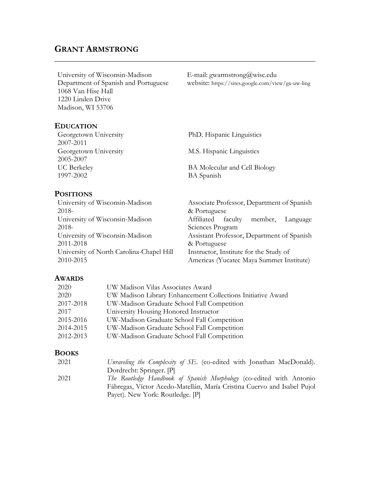# **GRANT ARMSTRONG**

University of Wisconsin-Madison Department of Spanish and Portuguese 1068 Van Hise Hall 1220 Linden Drive Madison, WI 53706

E-mail: gwarmstrong@wisc.edu website: https://sites.google.com/view/ga-uw-ling

#### **EDUCATION**

| Georgetown University<br>2007-2011 | PhD. Hispanic Linguistics     |
|------------------------------------|-------------------------------|
| Georgetown University              | M.S. Hispanic Linguistics     |
| 2005-2007<br><b>UC</b> Berkeley    | BA Molecular and Cell Biology |
| 1997-2002                          | <b>BA</b> Spanish             |

 $\_$  , and the set of the set of the set of the set of the set of the set of the set of the set of the set of the set of the set of the set of the set of the set of the set of the set of the set of the set of the set of th

#### **POSITIONS**

University of Wisconsin-Madison 2018- Associate Professor, Department of Spanish & Portuguese University of Wisconsin-Madison 2018- Affiliated faculty member, Language Sciences Program University of Wisconsin-Madison 2011-2018 Assistant Professor, Department of Spanish & Portuguese University of North Carolina-Chapel Hill 2010-2015 Instructor, Institute for the Study of Americas (Yucatec Maya Summer Institute)

#### **AWARDS**

| 2020      | UW Madison Vilas Associates Award                           |
|-----------|-------------------------------------------------------------|
| 2020      | UW Madison Library Enhancement Collections Initiative Award |
| 2017-2018 | UW-Madison Graduate School Fall Competition                 |
| 2017      | University Housing Honored Instructor                       |
| 2015-2016 | UW-Madison Graduate School Fall Competition                 |
| 2014-2015 | UW-Madison Graduate School Fall Competition                 |
| 2012-2013 | UW-Madison Graduate School Fall Competition                 |

#### **BOOKS**

| 2021 | Unraveling the Complexity of SE. (co-edited with Jonathan MacDonald).       |
|------|-----------------------------------------------------------------------------|
|      | Dordrecht: Springer. [P]                                                    |
| 2021 | <i>The Routledge Handbook of Spanish Morphology</i> (co-edited with Antonio |
|      | Fábregas, Víctor Acedo-Matellán, María Cristina Cuervo and Isabel Pujol     |
|      | Payet). New York: Routledge. [P]                                            |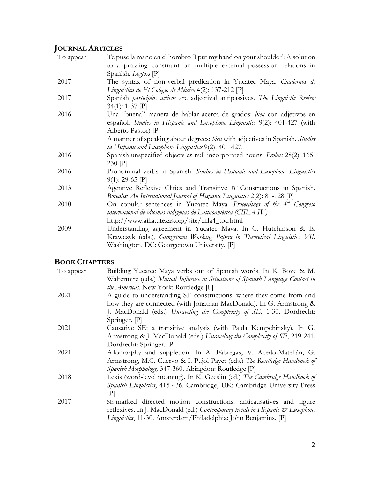# **JOURNAL ARTICLES**

| To appear | Te puse la mano en el hombro 'I put my hand on your shoulder': A solution                      |
|-----------|------------------------------------------------------------------------------------------------|
|           | to a puzzling constraint on multiple external possession relations in<br>Spanish. Isogloss [P] |
| 2017      | The syntax of non-verbal predication in Yucatec Maya. Cuadernos de                             |
|           | Lingüística de El Colegio de México 4(2): 137-212 [P]                                          |
| 2017      | Spanish <i>participios activos</i> are adjectival antipassives. The Linguistic Review          |
|           | $34(1): 1-37$ [P]                                                                              |
| 2016      | Una "buena" manera de hablar acerca de grados: bien con adjetivos en                           |
|           | español. Studies in Hispanic and Lusophone Linguistics 9(2): 401-427 (with                     |
|           | Alberto Pastor) [P]                                                                            |
|           | A manner of speaking about degrees: bien with adjectives in Spanish. Studies                   |
|           | in Hispanic and Lusophone Linguistics 9(2): 401-427.                                           |
| 2016      | Spanish unspecified objects as null incorporated nouns. Probus 28(2): 165-                     |
|           | $230$ $ P $                                                                                    |
| 2016      | Pronominal verbs in Spanish. Studies in Hispanic and Lusophone Linguistics                     |
|           | $9(1): 29-65$ P                                                                                |
| 2013      | Agentive Reflexive Clitics and Transitive SE Constructions in Spanish.                         |
|           | Borealis: An International Journal of Hispanic Linguistics 2(2): 81-128 [P]                    |
| 2010      | On copular sentences in Yucatec Maya. Proceedings of the 4 <sup>th</sup> Congreso              |
|           | internacional de idiomas indígenas de Latinoamérica (CIILA IV)                                 |
|           | http://www.ailla.utexas.org/site/cilla4_toc.html                                               |
| 2009      | Understanding agreement in Yucatec Maya. In C. Hutchinson & E.                                 |
|           | Krawczyk (eds.), Georgetown Working Papers in Theoretical Linguistics VII.                     |
|           | Washington, DC: Georgetown University. [P]                                                     |

# **BOOK CHAPTERS**

| Building Yucatec Maya verbs out of Spanish words. In K. Bove & M.               |
|---------------------------------------------------------------------------------|
| Waltermire (eds.) Mutual Influence in Situations of Spanish Language Contact in |
| the Americas. New York: Routledge [P]                                           |
| A guide to understanding SE constructions: where they come from and             |
| how they are connected (with Jonathan MacDonald). In G. Armstrong &             |
| J. MacDonald (eds.) Unraveling the Complexity of SE, 1-30. Dordrecht:           |
| Springer. [P]                                                                   |
| Causative SE: a transitive analysis (with Paula Kempchinsky). In G.             |
| Armstrong & J. MacDonald (eds.) Unraveling the Complexity of SE, 219-241.       |
| Dordrecht: Springer. [P]                                                        |
| Allomorphy and suppletion. In A. Fábregas, V. Acedo-Matellán, G.                |
| Armstrong, M.C. Cuervo & I. Pujol Payet (eds.) The Routledge Handbook of        |
| Spanish Morphology, 347-360. Abingdon: Routledge [P]                            |
| Lexis (word-level meaning). In K. Geeslin (ed.) The Cambridge Handbook of       |
| Spanish Linguistics, 415-436. Cambridge, UK: Cambridge University Press         |
| $ {\bf P} $                                                                     |
| SE-marked directed motion constructions: anticausatives and figure              |
| reflexives. In J. MacDonald (ed.) Contemporary trends in Hispanic & Lusophone   |
| Linguistics, 11-30. Amsterdam/Philadelphia: John Benjamins. [P]                 |
|                                                                                 |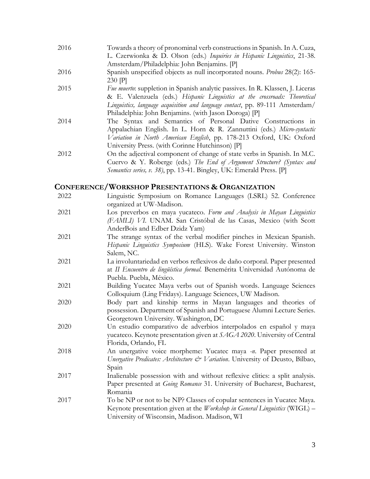- 2016 Towards a theory of pronominal verb constructions in Spanish. In A. Cuza, L. Czerwionka & D. Olson (eds.) *Inquiries in Hispanic Linguistics*, 21-38. Amsterdam/Philadelphia: John Benjamins. [P]
- 2016 Spanish unspecified objects as null incorporated nouns. *Probus* 28(2): 165- 230 [P]
- 2015 *Fue muerto*: suppletion in Spanish analytic passives. In R. Klassen, J. Liceras & E. Valenzuela (eds.) *Hispanic Linguistics at the crossroads: Theoretical Linguistics, language acquisition and language contact*, pp. 89-111 Amsterdam/ Philadelphia: John Benjamins. (with Jason Doroga) [P]
- 2014 The Syntax and Semantics of Personal Dative Constructions in Appalachian English. In L. Horn & R. Zannuttini (eds.) *Micro-syntactic Variation in North American English*, pp. 178-213 Oxford, UK: Oxford University Press. (with Corinne Hutchinson) [P]
- 2012 On the adjectival component of change of state verbs in Spanish. In M.C. Cuervo & Y. Roberge (eds.) *The End of Argument Structure? (Syntax and Semantics series, v. 38)*, pp. 13-41. Bingley, UK: Emerald Press. [P]

#### **CONFERENCE/WORKSHOP PRESENTATIONS & ORGANIZATION**

| 2022 | Linguistic Symposium on Romance Languages (LSRL) 52. Conference<br>organized at UW-Madison.                                                                                                            |
|------|--------------------------------------------------------------------------------------------------------------------------------------------------------------------------------------------------------|
| 2021 | Los preverbos en maya yucateco. Form and Analysis in Mayan Linguistics<br>(FAMLI) VI. UNAM. San Cristóbal de las Casas, Mexico (with Scott<br>AnderBois and Edber Dzidz Yam)                           |
| 2021 | The strange syntax of the verbal modifier pinches in Mexican Spanish.<br>Hispanic Linguistics Symposium (HLS). Wake Forest University. Winston<br>Salem, NC.                                           |
| 2021 | La involuntariedad en verbos reflexivos de daño corporal. Paper presented<br>at II Encuentro de lingüística formal. Benemérita Universidad Autónoma de<br>Puebla. Puebla, México.                      |
| 2021 | Building Yucatec Maya verbs out of Spanish words. Language Sciences<br>Colloquium (Ling Fridays). Language Sciences, UW Madison.                                                                       |
| 2020 | Body part and kinship terms in Mayan languages and theories of<br>possession. Department of Spanish and Portuguese Alumni Lecture Series.<br>Georgetown University. Washington, DC                     |
| 2020 | Un estudio comparativo de adverbios interpolados en español y maya<br>yucateco. Keynote presentation given at SAGA 2020. University of Central<br>Florida, Orlando, FL                                 |
| 2018 | An unergative voice morpheme: Yucatec maya -n. Paper presented at<br>Unergative Predicates: Architecture & Variation. University of Deusto, Bilbao,<br>Spain                                           |
| 2017 | Inalienable possession with and without reflexive clitics: a split analysis.<br>Paper presented at Going Romance 31. University of Bucharest, Bucharest,<br>Romania                                    |
| 2017 | To be NP or not to be NP? Classes of copular sentences in Yucatec Maya.<br>Keynote presentation given at the Workshop in General Linguistics (WIGL) -<br>University of Wisconsin, Madison. Madison, WI |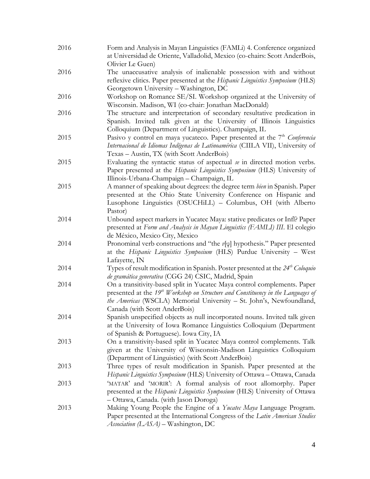| 2016 | Form and Analysis in Mayan Linguistics (FAMLi) 4. Conference organized<br>at Universidad de Oriente, Valladolid, Mexico (co-chairs: Scott AnderBois,                                                                                                                              |
|------|-----------------------------------------------------------------------------------------------------------------------------------------------------------------------------------------------------------------------------------------------------------------------------------|
| 2016 | Olivier Le Guen)<br>The unaccusative analysis of inalienable possession with and without<br>reflexive clitics. Paper presented at the Hispanic Linguistics Symposium (HLS)                                                                                                        |
|      | Georgetown University - Washington, DC                                                                                                                                                                                                                                            |
| 2016 | Workshop on Romance SE/SI. Workshop organized at the University of<br>Wisconsin. Madison, WI (co-chair: Jonathan MacDonald)                                                                                                                                                       |
| 2016 | The structure and interpretation of secondary resultative predication in<br>Spanish. Invited talk given at the University of Illinois Linguistics<br>Colloquium (Department of Linguistics). Champaign, IL                                                                        |
| 2015 | Pasivo y control en maya yucateco. Paper presented at the $7th$ Conferencia<br>Internacional de Idiomas Indígenas de Latinoamérica (CIILA VII), University of<br>Texas - Austin, TX (with Scott AnderBois)                                                                        |
| 2015 | Evaluating the syntactic status of aspectual se in directed motion verbs.<br>Paper presented at the Hispanic Linguistics Symposium (HLS) University of<br>Illinois-Urbana-Champaign - Champaign, IL                                                                               |
| 2015 | A manner of speaking about degrees: the degree term bien in Spanish. Paper<br>presented at the Ohio State University Conference on Hispanic and<br>Lusophone Linguistics (OSUCHiLL) - Columbus, OH (with Alberto<br>Pastor)                                                       |
| 2014 | Unbound aspect markers in Yucatec Maya: stative predicates or Infl? Paper<br>presented at Form and Analysis in Mayan Linguistics (FAMLI) III. El colegio<br>de México, Mexico City, Mexico                                                                                        |
| 2014 | Pronominal verb constructions and "the v[q] hypothesis." Paper presented<br>at the Hispanic Linguistics Symposium (HLS) Purdue University - West<br>Lafayette, IN                                                                                                                 |
| 2014 | Types of result modification in Spanish. Poster presented at the 24 <sup>th</sup> Coloquio<br>de gramática generativa (CGG 24) CSIC, Madrid, Spain                                                                                                                                |
| 2014 | On a transitivity-based split in Yucatec Maya control complements. Paper<br>presented at the 19 <sup>th</sup> Workshop on Structure and Constituency in the Languages of<br>the Americas (WSCLA) Memorial University - St. John's, Newfoundland,<br>Canada (with Scott AnderBois) |
| 2014 | Spanish unspecified objects as null incorporated nouns. Invited talk given<br>at the University of Iowa Romance Linguistics Colloquium (Department<br>of Spanish & Portuguese). Iowa City, IA                                                                                     |
| 2013 | On a transitivity-based split in Yucatec Maya control complements. Talk<br>given at the University of Wisconsin-Madison Linguistics Colloquium<br>(Department of Linguistics) (with Scott AnderBois)                                                                              |
| 2013 | Three types of result modification in Spanish. Paper presented at the<br>Hispanic Linguistics Symposium (HLS) University of Ottawa - Ottawa, Canada                                                                                                                               |
| 2013 | 'MATAR' and 'MORIR': A formal analysis of root allomorphy. Paper<br>presented at the Hispanic Linguistics Symposium (HLS) University of Ottawa<br>- Ottawa, Canada. (with Jason Doroga)                                                                                           |
| 2013 | Making Young People the Engine of a Yucatec Maya Language Program.<br>Paper presented at the International Congress of the Latin American Studies<br>Association (LASA) - Washington, DC                                                                                          |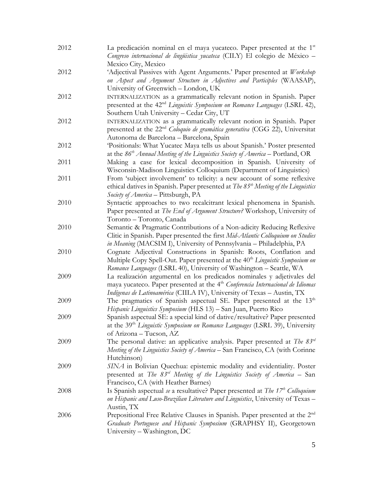| 2012 | La predicación nominal en el maya yucateco. Paper presented at the 1 <sup>st</sup><br>Congreso internacional de lingüistica yucateca (CILY) El colegio de México -                                                                               |
|------|--------------------------------------------------------------------------------------------------------------------------------------------------------------------------------------------------------------------------------------------------|
|      | Mexico City, Mexico                                                                                                                                                                                                                              |
| 2012 | 'Adjectival Passives with Agent Arguments.' Paper presented at Workshop<br>on Aspect and Argument Structure in Adjectives and Participles (WAASAP),                                                                                              |
|      | University of Greenwich - London, UK                                                                                                                                                                                                             |
| 2012 | INTERNALIZATION as a grammatically relevant notion in Spanish. Paper<br>presented at the 42 <sup>nd</sup> Linguistic Symposium on Romance Languages (LSRL 42),<br>Southern Utah University - Cedar City, UT                                      |
| 2012 | INTERNALIZATION as a grammatically relevant notion in Spanish. Paper<br>presented at the 22 <sup>nd</sup> Coloquio de gramática generativa (CGG 22), Universitat<br>Autonoma de Barcelona - Barcelona, Spain                                     |
| 2012 | 'Positionals: What Yucatec Maya tells us about Spanish.' Poster presented<br>at the $86th$ Annual Meeting of the Linguistics Society of America – Portland, OR                                                                                   |
| 2011 | Making a case for lexical decomposition in Spanish. University of<br>Wisconsin-Madison Linguistics Colloquium (Department of Linguistics)                                                                                                        |
| 2011 | From 'subject involvement' to telicity: a new account of some reflexive<br>ethical datives in Spanish. Paper presented at The 85 <sup>th</sup> Meeting of the Linguistics<br>Society of America - Pittsburgh, PA                                 |
| 2010 | Syntactic approaches to two recalcitrant lexical phenomena in Spanish.<br>Paper presented at The End of Argument Structure? Workshop, University of<br>Toronto - Toronto, Canada                                                                 |
| 2010 | Semantic & Pragmatic Contributions of a Non-adicity Reducing Reflexive<br>Clitic in Spanish. Paper presented the first Mid-Atlantic Colloquium on Studies<br>in Meaning (MACSIM I), University of Pennsylvania - Philadelphia, PA                |
| 2010 | Cognate Adjectival Constructions in Spanish: Roots, Conflation and<br>Multiple Copy Spell-Out. Paper presented at the 40 <sup>th</sup> Linguistic Symposium on<br>Romance Languages (LSRL 40), University of Washington - Seattle, WA            |
| 2009 | La realización argumental en los predicados nominales y adjetivales del<br>maya yucateco. Paper presented at the 4 <sup>th</sup> Conferencia Internacional de Idiomas<br>Indígenas de Latinoamérica (CIILA IV), University of Texas - Austin, TX |
| 2009 | The pragmatics of Spanish aspectual SE. Paper presented at the 13 <sup>th</sup><br>Hispanic Linguistics Symposium (HLS 13) - San Juan, Puerto Rico                                                                                               |
| 2009 | Spanish aspectual SE: a special kind of dative/resultative? Paper presented<br>at the 39 <sup>th</sup> Linguistic Symposium on Romance Languages (LSRL 39), University<br>of Arizona - Tucson, AZ                                                |
| 2009 | The personal dative: an applicative analysis. Paper presented at The $83^{rd}$<br>Meeting of the Linguistics Society of America – San Francisco, CA (with Corinne<br>Hutchinson)                                                                 |
| 2009 | SINA in Bolivian Quechua: epistemic modality and evidentiality. Poster<br>presented at The $83^{rd}$ Meeting of the Linguistics Society of America – San<br>Francisco, CA (with Heather Barnes)                                                  |
| 2008 | Is Spanish aspectual se a resultative? Paper presented at The $17^{th}$ Colloquium<br>on Hispanic and Luso-Brazilian Literature and Linguistics, University of Texas -<br>Austin, TX                                                             |
| 2006 | Prepositional Free Relative Clauses in Spanish. Paper presented at the 2 <sup>nd</sup><br>Graduate Portuguese and Hispanic Symposium (GRAPHSY II), Georgetown<br>University - Washington, DC                                                     |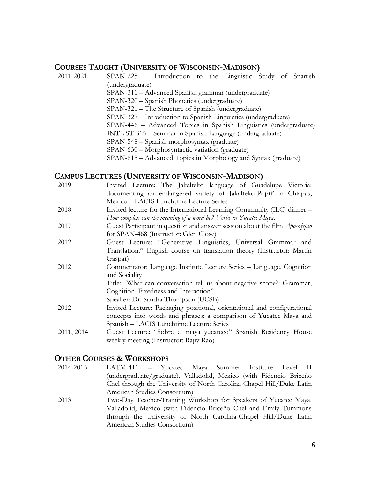#### **COURSES TAUGHT (UNIVERSITY OF WISCONSIN-MADISON)**

2011-2021 SPAN-225 – Introduction to the Linguistic Study of Spanish (undergraduate) SPAN-311 – Advanced Spanish grammar (undergraduate) SPAN-320 – Spanish Phonetics (undergraduate) SPAN-321 – The Structure of Spanish (undergraduate) SPAN-327 – Introduction to Spanish Linguistics (undergraduate) SPAN-446 – Advanced Topics in Spanish Linguistics (undergraduate) INTL ST-315 – Seminar in Spanish Language (undergraduate) SPAN-548 – Spanish morphosyntax (graduate) SPAN-630 – Morphosyntactic variation (graduate) SPAN-815 – Advanced Topics in Morphology and Syntax (graduate)

#### **CAMPUS LECTURES (UNIVERSITY OF WISCONSIN-MADISON)**

- 2019 Invited Lecture: The Jakalteko language of Guadalupe Victoria: documenting an endangered variety of Jakalteko-Popti' in Chiapas, Mexico – LACIS Lunchtime Lecture Series
- 2018 Invited lecture for the International Learning Community (ILC) dinner *How complex can the meaning of a word be? Verbs in Yucatec Maya*.
- 2017 Guest Participant in question and answer session about the film *Apocalypto* for SPAN-468 (Instructor: Glen Close)
- 2012 Guest Lecture: "Generative Linguistics, Universal Grammar and Translation." English course on translation theory (Instructor: Martín Gaspar)
- 2012 Commentator: Language Institute Lecture Series Language, Cognition and Sociality

Title: "What can conversation tell us about negative scope?: Grammar, Cognition, Fixedness and Interaction"

- Speaker: Dr. Sandra Thompson (UCSB)
- 2012 Invited Lecture: Packaging positional, orientational and configurational concepts into words and phrases: a comparison of Yucatec Maya and Spanish – LACIS Lunchtime Lecture Series
- 2011, 2014 Guest Lecture: "Sobre el maya yucateco" Spanish Residency House weekly meeting (Instructor: Rajiv Rao)

#### **OTHER COURSES & WORKSHOPS**

- 2014-2015 LATM-411 Yucatec Maya Summer Institute Level II (undergraduate/graduate). Valladolid, Mexico (with Fidencio Briceño Chel through the University of North Carolina-Chapel Hill/Duke Latin American Studies Consortium)
- 2013 Two-Day Teacher-Training Workshop for Speakers of Yucatec Maya. Valladolid, Mexico (with Fidencio Briceño Chel and Emily Tummons through the University of North Carolina-Chapel Hill/Duke Latin American Studies Consortium)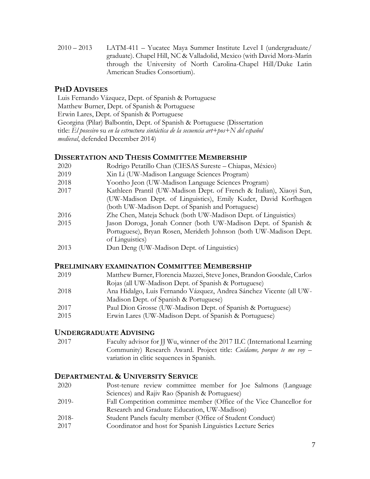2010 – 2013 LATM-411 – Yucatec Maya Summer Institute Level I (undergraduate/ graduate). Chapel Hill, NC & Valladolid, Mexico (with David Mora-Marín through the University of North Carolina-Chapel Hill/Duke Latin American Studies Consortium).

# **PHD ADVISEES**

Luis Fernando Vázquez, Dept. of Spanish & Portuguese Matthew Burner, Dept. of Spanish & Portuguese Erwin Lares, Dept. of Spanish & Portuguese Georgina (Pilar) Balbontín, Dept. of Spanish & Portuguese (Dissertation title: *El posesivo* su *en la estructura sintáctica de la secuencia art+pos+N del español medieval*, defended December 2014)

## **DISSERTATION AND THESIS COMMITTEE MEMBERSHIP**

| 2020 | Rodrigo Petatillo Chan (CIESAS Sureste – Chiapas, México)            |
|------|----------------------------------------------------------------------|
| 2019 | Xin Li (UW-Madison Language Sciences Program)                        |
| 2018 | Yoonho Jeon (UW-Madison Language Sciences Program)                   |
| 2017 | Kathleen Prantil (UW-Madison Dept. of French & Italian), Xiaoyi Sun, |
|      | (UW-Madison Dept. of Linguistics), Emily Kuder, David Korfhagen      |
|      | (both UW-Madison Dept. of Spanish and Portuguese)                    |
| 2016 | Zhe Chen, Mateja Schuck (both UW-Madison Dept. of Linguistics)       |
| 2015 | Jason Doroga, Jonah Conner (both UW-Madison Dept. of Spanish &       |
|      | Portuguese), Bryan Rosen, Merideth Johnson (both UW-Madison Dept.    |
|      | of Linguistics)                                                      |
| 2013 | Dun Deng (UW-Madison Dept. of Linguistics)                           |

#### **PRELIMINARY EXAMINATION COMMITTEE MEMBERSHIP**

| 2019 | Matthew Burner, Florencia Mazzei, Steve Jones, Brandon Goodale, Carlos |
|------|------------------------------------------------------------------------|
|      | Rojas (all UW-Madison Dept. of Spanish & Portuguese)                   |
| 2018 | Ana Hidalgo, Luis Fernando Vázquez, Andrea Sánchez Vicente (all UW-    |
|      | Madison Dept. of Spanish & Portuguese)                                 |
| 2017 | Paul Dion Grosse (UW-Madison Dept. of Spanish & Portuguese)            |
| 2015 | Erwin Lares (UW-Madison Dept. of Spanish & Portuguese)                 |
|      |                                                                        |

#### **UNDERGRADUATE ADVISING**

2017 Faculty advisor for JJ Wu, winner of the 2017 ILC (International Learning Community) Research Award. Project title: *Cuídame, porque te me voy* – variation in clitic sequences in Spanish.

## **DEPARTMENTAL & UNIVERSITY SERVICE**

2020 Post-tenure review committee member for Joe Salmons (Language Sciences) and Rajiv Rao (Spanish & Portuguese) 2019- Fall Competition committee member (Office of the Vice Chancellor for Research and Graduate Education, UW-Madison) 2018- Student Panels faculty member (Office of Student Conduct) 2017 Coordinator and host for Spanish Linguistics Lecture Series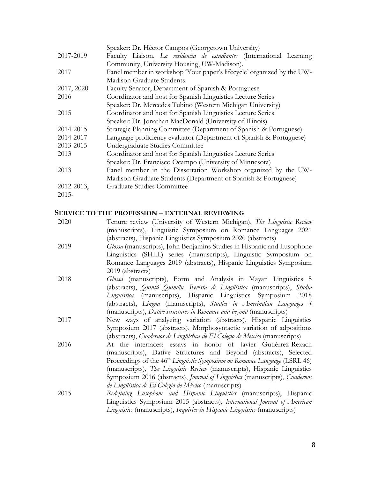|            | Speaker: Dr. Héctor Campos (Georgetown University)                     |
|------------|------------------------------------------------------------------------|
| 2017-2019  | Faculty Liaison, La residencia de estudiantes (International Learning  |
|            | Community, University Housing, UW-Madison).                            |
| 2017       | Panel member in workshop 'Your paper's lifecycle' organized by the UW- |
|            | Madison Graduate Students                                              |
| 2017, 2020 | Faculty Senator, Department of Spanish & Portuguese                    |
| 2016       | Coordinator and host for Spanish Linguistics Lecture Series            |
|            | Speaker: Dr. Mercedes Tubino (Western Michigan University)             |
| 2015       | Coordinator and host for Spanish Linguistics Lecture Series            |
|            | Speaker: Dr. Jonathan MacDonald (University of Illinois)               |
| 2014-2015  | Strategic Planning Committee (Department of Spanish & Portuguese)      |
| 2014-2017  | Language proficiency evaluator (Department of Spanish & Portuguese)    |
| 2013-2015  | Undergraduate Studies Committee                                        |
| 2013       | Coordinator and host for Spanish Linguistics Lecture Series            |
|            | Speaker: Dr. Francisco Ocampo (University of Minnesota)                |
| 2013       | Panel member in the Dissertation Workshop organized by the UW-         |
|            | Madison Graduate Students (Department of Spanish & Portuguese)         |
| 2012-2013, | Graduate Studies Committee                                             |
| $2015 -$   |                                                                        |

# **SERVICE TO THE PROFESSION – EXTERNAL REVIEWING**

| Tenure review (University of Western Michigan), The Linguistic Review                  |
|----------------------------------------------------------------------------------------|
| (manuscripts), Linguistic Symposium on Romance Languages 2021                          |
| (abstracts), Hispanic Linguistics Symposium 2020 (abstracts)                           |
| Glossa (manuscripts), John Benjamins Studies in Hispanic and Lusophone                 |
| Linguistics (SHLL) series (manuscripts), Linguistic Symposium on                       |
| Romance Languages 2019 (abstracts), Hispanic Linguistics Symposium                     |
| 2019 (abstracts)                                                                       |
| Glossa (manuscripts), Form and Analysis in Mayan Linguistics 5                         |
| (abstracts), <i>Quintú Quimün. Revista de Lingüística</i> (manuscripts), Studia        |
| Linguistica (manuscripts), Hispanic Linguistics Symposium 2018                         |
| (abstracts), Lingua (manuscripts), Studies in Amerindian Languages 4                   |
| (manuscripts), Dative structures in Romance and beyond (manuscripts)                   |
| New ways of analyzing variation (abstracts), Hispanic Linguistics                      |
| Symposium 2017 (abstracts), Morphosyntactic variation of adpositions                   |
| (abstracts), Cuadernos de Lingüística de El Colegio de México (manuscripts)            |
| At the interfaces: essays in honor of Javier Gutiérrez-Rexach                          |
| (manuscripts), Dative Structures and Beyond (abstracts), Selected                      |
| Proceedings of the 46 <sup>th</sup> Linguistic Symposium on Romance Language (LSRL 46) |
| (manuscripts), The Linguistic Review (manuscripts), Hispanic Linguistics               |
| Symposium 2016 (abstracts), Journal of Linguistics (manuscripts), Cuadernos            |
| de Lingüística de El Colegio de México (manuscripts)                                   |
| Redefining Lusophone and Hispanic Linguistics (manuscripts), Hispanic                  |
| Linguistics Symposium 2015 (abstracts), International Journal of American              |
| Linguistics (manuscripts), Inquiries in Hispanic Linguistics (manuscripts)             |
|                                                                                        |